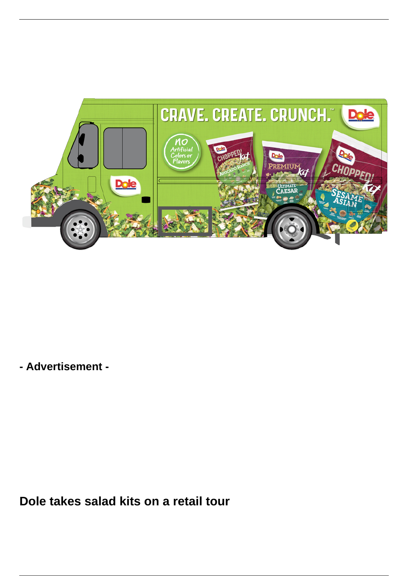

**- Advertisement -**

**Dole takes salad kits on a retail tour**